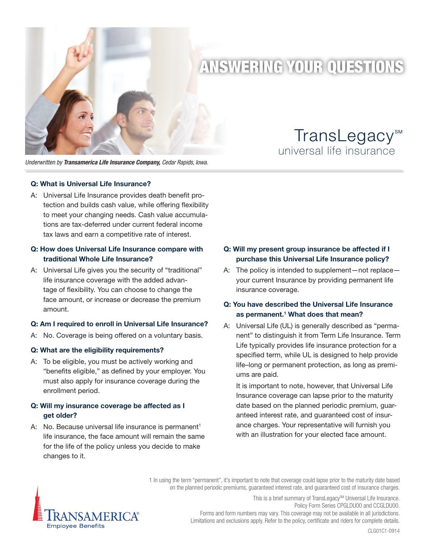

# ANSWERING YOUR QUESTIONS

*Underwritten by Transamerica Life Insurance Company, Cedar Rapids, Iowa.*

### **Q: What is Universal Life Insurance?**

A: Universal Life Insurance provides death benefit protection and builds cash value, while offering flexibility to meet your changing needs. Cash value accumulations are tax-deferred under current federal income tax laws and earn a competitive rate of interest.

# **Q: How does Universal Life Insurance compare with traditional Whole Life Insurance?**

A: Universal Life gives you the security of "traditional" life insurance coverage with the added advantage of flexibility. You can choose to change the face amount, or increase or decrease the premium amount.

# **Q: Am I required to enroll in Universal Life Insurance?**

A: No. Coverage is being offered on a voluntary basis.

# **Q: What are the eligibility requirements?**

A: To be eligible, you must be actively working and "benefits eligible," as defined by your employer. You must also apply for insurance coverage during the enrollment period.

# **Q: Will my insurance coverage be affected as I get older?**

A: No. Because universal life insurance is permanent<sup>1</sup> life insurance, the face amount will remain the same for the life of the policy unless you decide to make changes to it.

universal life insurance

TransLegacy<sup>™</sup>

# **Q: Will my present group insurance be affected if I purchase this Universal Life Insurance policy?**

A: The policy is intended to supplement—not replace your current Insurance by providing permanent life insurance coverage.

# **Q: You have described the Universal Life Insurance as permanent.1 What does that mean?**

A: Universal Life (UL) is generally described as "permanent" to distinguish it from Term Life Insurance. Term Life typically provides life insurance protection for a specified term, while UL is designed to help provide life–long or permanent protection, as long as premiums are paid.

It is important to note, however, that Universal Life Insurance coverage can lapse prior to the maturity date based on the planned periodic premium, guaranteed interest rate, and guaranteed cost of insurance charges. Your representative will furnish you with an illustration for your elected face amount.

1 In using the term "permanent", it's important to note that coverage could lapse prior to the maturity date based on the planned periodic premiums, guaranteed interest rate, and guaranteed cost of insurance charges.



This is a brief summary of TransLegacy<sup>SM</sup> Universal Life Insurance. Policy Form Series CPGLDU00 and CCGLDU00. Forms and form numbers may vary. This coverage may not be available in all jurisdictions. Limitations and exclusions apply. Refer to the policy, certificate and riders for complete details.